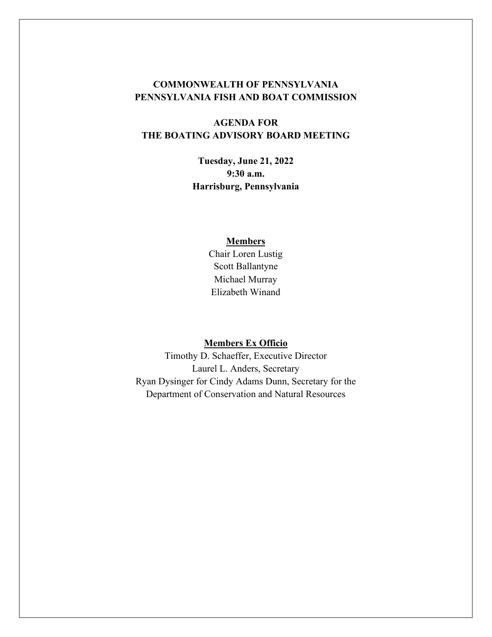# **COMMONWEALTH OF PENNSYLVANIA PENNSYLVANIA FISH AND BOAT COMMISSION**

# **AGENDA FOR THE BOATING ADVISORY BOARD MEETING**

**Tuesday, June 21, 2022 9:30 a.m. Harrisburg, Pennsylvania**

#### **Members**

Chair Loren Lustig Scott Ballantyne Michael Murray Elizabeth Winand

### **Members Ex Officio**

Timothy D. Schaeffer, Executive Director Laurel L. Anders, Secretary Ryan Dysinger for Cindy Adams Dunn, Secretary for the Department of Conservation and Natural Resources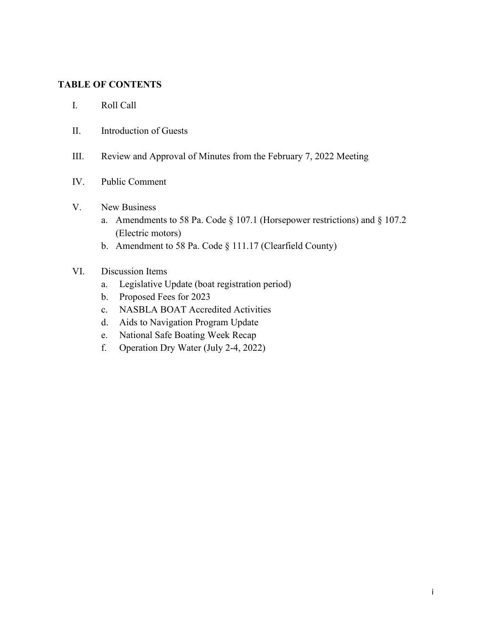## **TABLE OF CONTENTS**

- I. Roll Call
- II. Introduction of Guests
- III. Review and Approval of Minutes from the February 7, 2022 Meeting
- IV. Public Comment

#### V. New Business

- a. Amendments to 58 Pa. Code § 107.1 (Horsepower restrictions) and § 107.2 (Electric motors)
- b. Amendment to 58 Pa. Code § 111.17 (Clearfield County)

## VI. Discussion Items

- a. Legislative Update (boat registration period)
- b. Proposed Fees for 2023
- c. NASBLA BOAT Accredited Activities
- d. Aids to Navigation Program Update
- e. National Safe Boating Week Recap
- f. Operation Dry Water (July 2-4, 2022)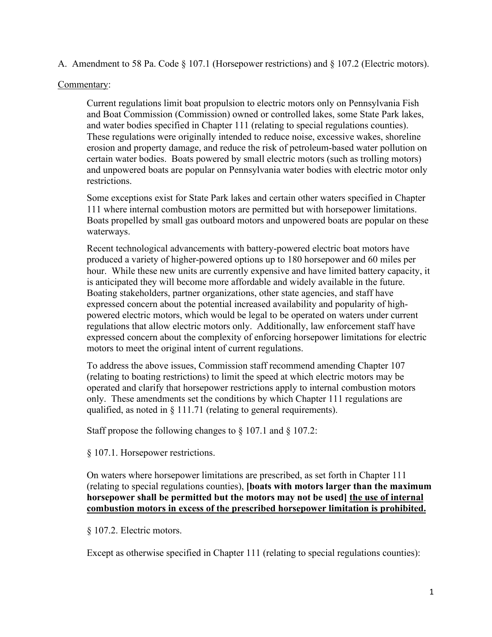A. Amendment to 58 Pa. Code § 107.1 (Horsepower restrictions) and § 107.2 (Electric motors).

### Commentary:

Current regulations limit boat propulsion to electric motors only on Pennsylvania Fish and Boat Commission (Commission) owned or controlled lakes, some State Park lakes, and water bodies specified in Chapter 111 (relating to special regulations counties). These regulations were originally intended to reduce noise, excessive wakes, shoreline erosion and property damage, and reduce the risk of petroleum-based water pollution on certain water bodies. Boats powered by small electric motors (such as trolling motors) and unpowered boats are popular on Pennsylvania water bodies with electric motor only restrictions.

Some exceptions exist for State Park lakes and certain other waters specified in Chapter 111 where internal combustion motors are permitted but with horsepower limitations. Boats propelled by small gas outboard motors and unpowered boats are popular on these waterways.

Recent technological advancements with battery-powered electric boat motors have produced a variety of higher-powered options up to 180 horsepower and 60 miles per hour. While these new units are currently expensive and have limited battery capacity, it is anticipated they will become more affordable and widely available in the future. Boating stakeholders, partner organizations, other state agencies, and staff have expressed concern about the potential increased availability and popularity of highpowered electric motors, which would be legal to be operated on waters under current regulations that allow electric motors only. Additionally, law enforcement staff have expressed concern about the complexity of enforcing horsepower limitations for electric motors to meet the original intent of current regulations.

To address the above issues, Commission staff recommend amending Chapter 107 (relating to boating restrictions) to limit the speed at which electric motors may be operated and clarify that horsepower restrictions apply to internal combustion motors only. These amendments set the conditions by which Chapter 111 regulations are qualified, as noted in § 111.71 (relating to general requirements).

Staff propose the following changes to  $\S 107.1$  and  $\S 107.2$ :

§ 107.1. Horsepower restrictions.

On waters where horsepower limitations are prescribed, as set forth in Chapter 111 (relating to special regulations counties), **[boats with motors larger than the maximum horsepower shall be permitted but the motors may not be used] the use of internal combustion motors in excess of the prescribed horsepower limitation is prohibited.**

## § 107.2. Electric motors.

Except as otherwise specified in Chapter 111 (relating to special regulations counties):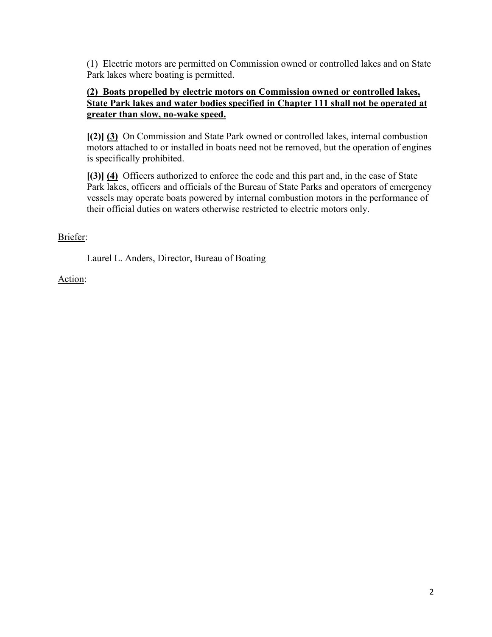(1) Electric motors are permitted on Commission owned or controlled lakes and on State Park lakes where boating is permitted.

## **(2) Boats propelled by electric motors on Commission owned or controlled lakes, State Park lakes and water bodies specified in Chapter 111 shall not be operated at greater than slow, no-wake speed.**

**[(2)] (3)** On Commission and State Park owned or controlled lakes, internal combustion motors attached to or installed in boats need not be removed, but the operation of engines is specifically prohibited.

**[(3)] (4)** Officers authorized to enforce the code and this part and, in the case of State Park lakes, officers and officials of the Bureau of State Parks and operators of emergency vessels may operate boats powered by internal combustion motors in the performance of their official duties on waters otherwise restricted to electric motors only.

# Briefer:

Laurel L. Anders, Director, Bureau of Boating

## Action: